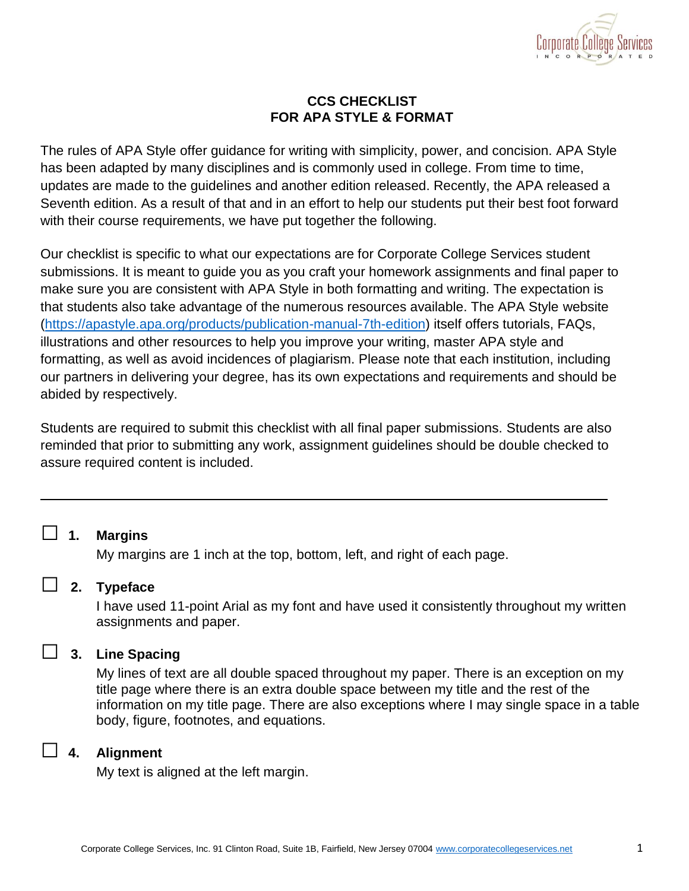

### **CCS CHECKLIST FOR APA STYLE & FORMAT**

The rules of APA Style offer guidance for writing with simplicity, power, and concision. APA Style has been adapted by many disciplines and is commonly used in college. From time to time, updates are made to the guidelines and another edition released. Recently, the APA released a Seventh edition. As a result of that and in an effort to help our students put their best foot forward with their course requirements, we have put together the following.

Our checklist is specific to what our expectations are for Corporate College Services student submissions. It is meant to guide you as you craft your homework assignments and final paper to make sure you are consistent with APA Style in both formatting and writing. The expectation is that students also take advantage of the numerous resources available. The APA Style website [\(https://apastyle.apa.org/products/publication-manual-7th-edition\)](https://apastyle.apa.org/products/publication-manual-7th-edition) itself offers tutorials, FAQs, illustrations and other resources to help you improve your writing, master APA style and formatting, as well as avoid incidences of plagiarism. Please note that each institution, including our partners in delivering your degree, has its own expectations and requirements and should be abided by respectively.

Students are required to submit this checklist with all final paper submissions. Students are also reminded that prior to submitting any work, assignment guidelines should be double checked to assure required content is included.

# □ **1. Margins**

My margins are 1 inch at the top, bottom, left, and right of each page.

### □ **2. Typeface**

I have used 11-point Arial as my font and have used it consistently throughout my written assignments and paper.

### □ **3. Line Spacing**

My lines of text are all double spaced throughout my paper. There is an exception on my title page where there is an extra double space between my title and the rest of the information on my title page. There are also exceptions where I may single space in a table body, figure, footnotes, and equations.

### □ **4. Alignment**

My text is aligned at the left margin.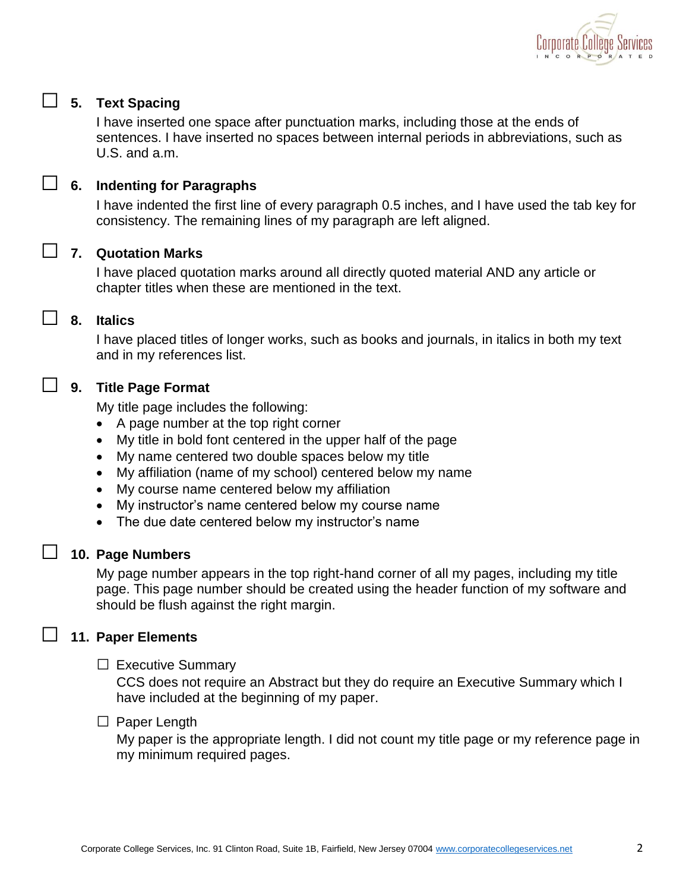

# □ **5. Text Spacing**

I have inserted one space after punctuation marks, including those at the ends of sentences. I have inserted no spaces between internal periods in abbreviations, such as U.S. and a.m.

# □ **6. Indenting for Paragraphs**

I have indented the first line of every paragraph 0.5 inches, and I have used the tab key for consistency. The remaining lines of my paragraph are left aligned.

### □ **7. Quotation Marks**

I have placed quotation marks around all directly quoted material AND any article or chapter titles when these are mentioned in the text.

### □ **8. Italics**

I have placed titles of longer works, such as books and journals, in italics in both my text and in my references list.

### □ **9. Title Page Format**

My title page includes the following:

- A page number at the top right corner
- My title in bold font centered in the upper half of the page
- My name centered two double spaces below my title
- My affiliation (name of my school) centered below my name
- My course name centered below my affiliation
- My instructor's name centered below my course name
- The due date centered below my instructor's name

### □ **10. Page Numbers**

My page number appears in the top right-hand corner of all my pages, including my title page. This page number should be created using the header function of my software and should be flush against the right margin.

### □ **11. Paper Elements**

#### $\square$  Executive Summary

CCS does not require an Abstract but they do require an Executive Summary which I have included at the beginning of my paper.

#### □ Paper Length

My paper is the appropriate length. I did not count my title page or my reference page in my minimum required pages.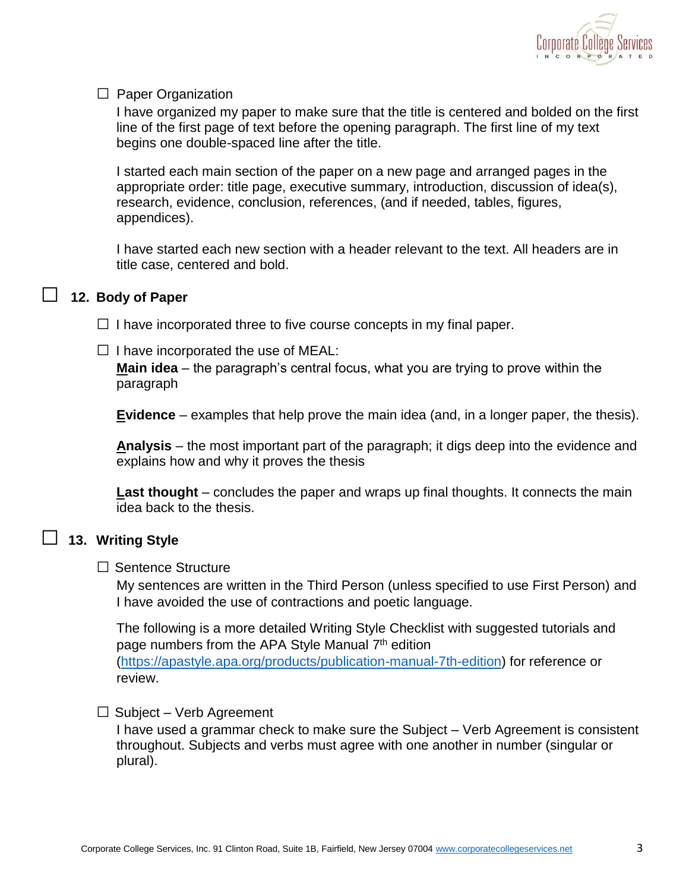

#### $\Box$  Paper Organization

I have organized my paper to make sure that the title is centered and bolded on the first line of the first page of text before the opening paragraph. The first line of my text begins one double-spaced line after the title.

I started each main section of the paper on a new page and arranged pages in the appropriate order: title page, executive summary, introduction, discussion of idea(s), research, evidence, conclusion, references, (and if needed, tables, figures, appendices).

I have started each new section with a header relevant to the text. All headers are in title case, centered and bold.

#### □ **12. Body of Paper**

 $\Box$  I have incorporated three to five course concepts in my final paper.

 $\Box$  I have incorporated the use of MEAL:

**Main idea** – the paragraph's central focus, what you are trying to prove within the paragraph

**Evidence** – examples that help prove the main idea (and, in a longer paper, the thesis).

**Analysis** – the most important part of the paragraph; it digs deep into the evidence and explains how and why it proves the thesis

**Last thought** – concludes the paper and wraps up final thoughts. It connects the main idea back to the thesis.

# □ **13. Writing Style**

#### □ Sentence Structure

My sentences are written in the Third Person (unless specified to use First Person) and I have avoided the use of contractions and poetic language.

The following is a more detailed Writing Style Checklist with suggested tutorials and page numbers from the APA Style Manual 7<sup>th</sup> edition [\(https://apastyle.apa.org/products/publication-manual-7th-edition\)](https://apastyle.apa.org/products/publication-manual-7th-edition) for reference or review.

#### $\Box$  Subject – Verb Agreement

I have used a grammar check to make sure the Subject – Verb Agreement is consistent throughout. Subjects and verbs must agree with one another in number (singular or plural).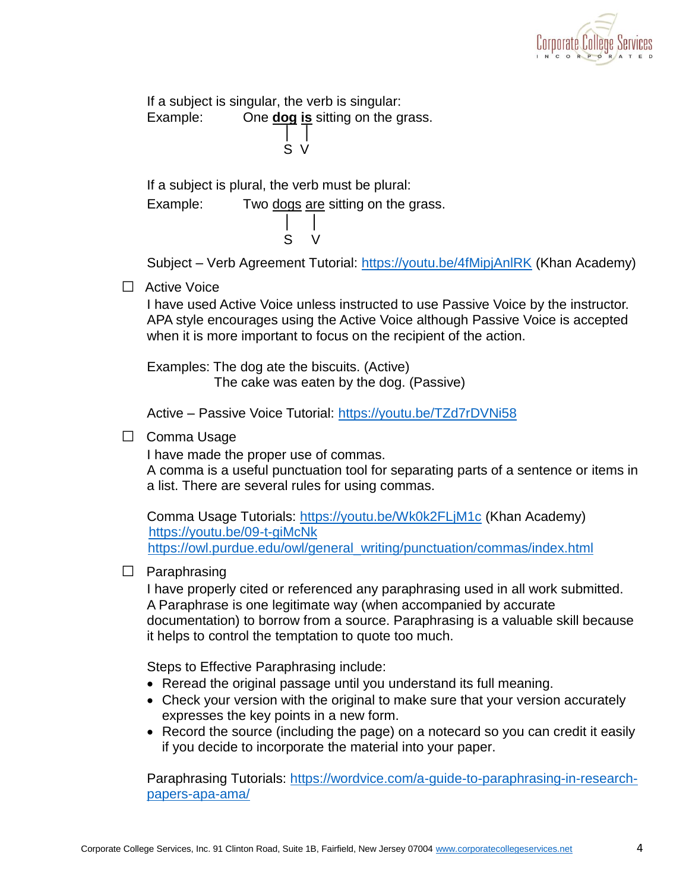

If a subject is singular, the verb is singular: Example: One **dog is** sitting on the grass. │ │ S V

If a subject is plural, the verb must be plural:

Example: Two dogs are sitting on the grass.

│ │ S V

Subject – Verb Agreement Tutorial:<https://youtu.be/4fMipjAnlRK> (Khan Academy)

□ Active Voice

I have used Active Voice unless instructed to use Passive Voice by the instructor. APA style encourages using the Active Voice although Passive Voice is accepted when it is more important to focus on the recipient of the action.

Examples: The dog ate the biscuits. (Active) The cake was eaten by the dog. (Passive)

Active – Passive Voice Tutorial:<https://youtu.be/TZd7rDVNi58>

□ Comma Usage

I have made the proper use of commas.

A comma is a useful punctuation tool for separating parts of a sentence or items in a list. There are several rules for using commas.

Comma Usage Tutorials:<https://youtu.be/Wk0k2FLjM1c> (Khan Academy) <https://youtu.be/09-t-giMcNk> [https://owl.purdue.edu/owl/general\\_writing/punctuation/commas/index.html](https://owl.purdue.edu/owl/general_writing/punctuation/commas/index.html)

### □ Paraphrasing

I have properly cited or referenced any paraphrasing used in all work submitted. A Paraphrase is one legitimate way (when accompanied by accurate documentation) to borrow from a source. Paraphrasing is a valuable skill because it helps to control the temptation to quote too much.

Steps to Effective Paraphrasing include:

- Reread the original passage until you understand its full meaning.
- Check your version with the original to make sure that your version accurately expresses the key points in a new form.
- Record the source (including the page) on a notecard so you can credit it easily if you decide to incorporate the material into your paper.

Paraphrasing Tutorials: [https://wordvice.com/a-guide-to-paraphrasing-in-research](https://wordvice.com/a-guide-to-paraphrasing-in-research-papers-apa-ama/)[papers-apa-ama/](https://wordvice.com/a-guide-to-paraphrasing-in-research-papers-apa-ama/)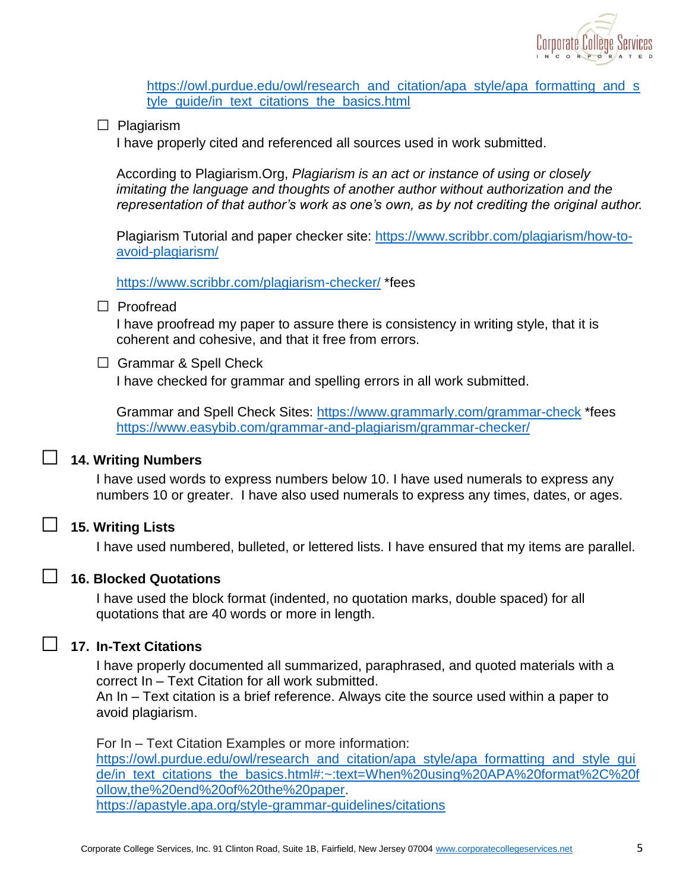

[https://owl.purdue.edu/owl/research\\_and\\_citation/apa\\_style/apa\\_formatting\\_and\\_s](https://owl.purdue.edu/owl/research_and_citation/apa_style/apa_formatting_and_style_guide/in_text_citations_the_basics.html) tyle\_quide/in\_text\_citations\_the\_basics.html

□ Plagiarism

I have properly cited and referenced all sources used in work submitted.

According to Plagiarism.Org, *Plagiarism is an act or instance of using or closely imitating the language and thoughts of another author without authorization and the representation of that author's work as one's own, as by not crediting the original author.* 

Plagiarism Tutorial and paper checker site: [https://www.scribbr.com/plagiarism/how-to](https://www.scribbr.com/plagiarism/how-to-avoid-plagiarism/)[avoid-plagiarism/](https://www.scribbr.com/plagiarism/how-to-avoid-plagiarism/)

<https://www.scribbr.com/plagiarism-checker/> \*fees

#### □ Proofread

I have proofread my paper to assure there is consistency in writing style, that it is coherent and cohesive, and that it free from errors.

 $\Box$  Grammar & Spell Check

I have checked for grammar and spelling errors in all work submitted.

Grammar and Spell Check Sites:<https://www.grammarly.com/grammar-check> \*fees <https://www.easybib.com/grammar-and-plagiarism/grammar-checker/>

# □ **14. Writing Numbers**

I have used words to express numbers below 10. I have used numerals to express any numbers 10 or greater. I have also used numerals to express any times, dates, or ages.

#### □ **15. Writing Lists**

I have used numbered, bulleted, or lettered lists. I have ensured that my items are parallel.

### □ **16. Blocked Quotations**

I have used the block format (indented, no quotation marks, double spaced) for all quotations that are 40 words or more in length.

### □ **17. In-Text Citations**

I have properly documented all summarized, paraphrased, and quoted materials with a correct In – Text Citation for all work submitted.

An In – Text citation is a brief reference. Always cite the source used within a paper to avoid plagiarism.

For In – Text Citation Examples or more information: [https://owl.purdue.edu/owl/research\\_and\\_citation/apa\\_style/apa\\_formatting\\_and\\_style\\_gui](https://owl.purdue.edu/owl/research_and_citation/apa_style/apa_formatting_and_style_guide/in_text_citations_the_basics.html#:~:text=When%20using%20APA%20format%2C%20follow,the%20end%20of%20the%20paper) [de/in\\_text\\_citations\\_the\\_basics.html#:~:text=When%20using%20APA%20format%2C%20f](https://owl.purdue.edu/owl/research_and_citation/apa_style/apa_formatting_and_style_guide/in_text_citations_the_basics.html#:~:text=When%20using%20APA%20format%2C%20follow,the%20end%20of%20the%20paper) [ollow,the%20end%20of%20the%20paper.](https://owl.purdue.edu/owl/research_and_citation/apa_style/apa_formatting_and_style_guide/in_text_citations_the_basics.html#:~:text=When%20using%20APA%20format%2C%20follow,the%20end%20of%20the%20paper) <https://apastyle.apa.org/style-grammar-guidelines/citations>